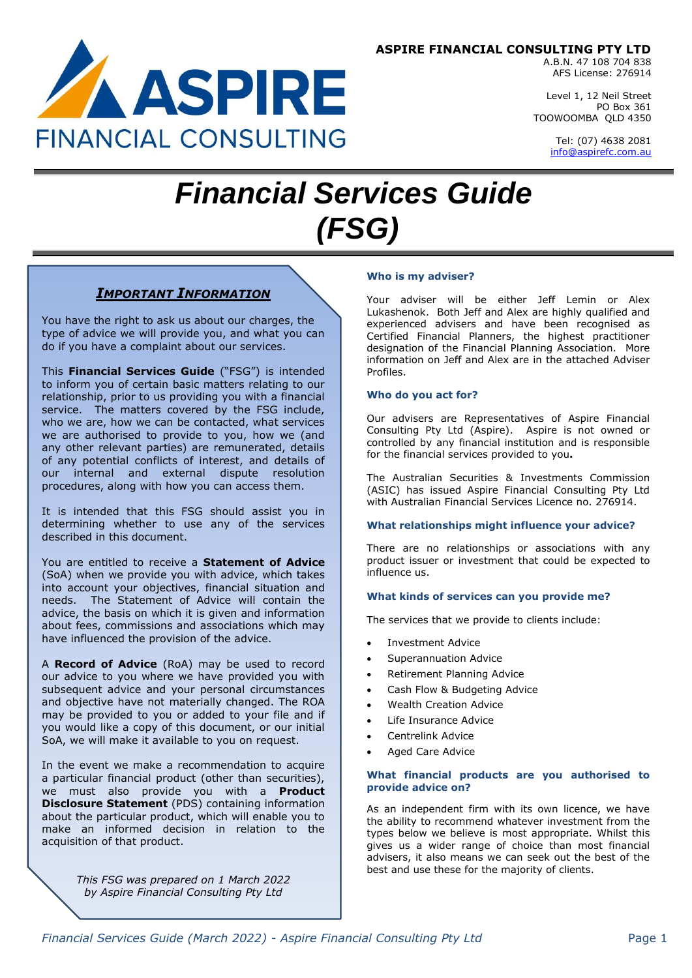# **ASPIRE FINANCIAL CONSULTING PTY LTD**



Level 1, 12 Neil Street PO Box 361 TOOWOOMBA QLD 4350

> Tel: (07) 4638 2081 [info@aspirefc.com.au](mailto:info@aspirefc.com.au)

# *Financial Services Guide (FSG)*

# *IMPORTANT INFORMATION*

ASPIRE

**FINANCIAL CONSULTING** 

You have the right to ask us about our charges, the type of advice we will provide you, and what you can do if you have a complaint about our services.

This **Financial Services Guide** ("FSG") is intended to inform you of certain basic matters relating to our relationship, prior to us providing you with a financial service. The matters covered by the FSG include, who we are, how we can be contacted, what services we are authorised to provide to you, how we (and any other relevant parties) are remunerated, details of any potential conflicts of interest, and details of our internal and external dispute resolution procedures, along with how you can access them.

It is intended that this FSG should assist you in determining whether to use any of the services described in this document.

You are entitled to receive a **Statement of Advice** (SoA) when we provide you with advice, which takes into account your objectives, financial situation and needs. The Statement of Advice will contain the advice, the basis on which it is given and information about fees, commissions and associations which may have influenced the provision of the advice.

A **Record of Advice** (RoA) may be used to record our advice to you where we have provided you with subsequent advice and your personal circumstances and objective have not materially changed. The ROA may be provided to you or added to your file and if you would like a copy of this document, or our initial SoA, we will make it available to you on request.

In the event we make a recommendation to acquire a particular financial product (other than securities), we must also provide you with a **Product Disclosure Statement** (PDS) containing information about the particular product, which will enable you to make an informed decision in relation to the acquisition of that product.

> *This FSG was prepared on 1 March 2022 by Aspire Financial Consulting Pty Ltd*

### **Who is my adviser?**

Your adviser will be either Jeff Lemin or Alex Lukashenok. Both Jeff and Alex are highly qualified and experienced advisers and have been recognised as Certified Financial Planners, the highest practitioner designation of the Financial Planning Association. More information on Jeff and Alex are in the attached Adviser Profiles.

#### **Who do you act for?**

Our advisers are Representatives of Aspire Financial Consulting Pty Ltd (Aspire). Aspire is not owned or controlled by any financial institution and is responsible for the financial services provided to you**.**

The Australian Securities & Investments Commission (ASIC) has issued Aspire Financial Consulting Pty Ltd with Australian Financial Services Licence no. 276914.

# **What relationships might influence your advice?**

There are no relationships or associations with any product issuer or investment that could be expected to influence us.

# **What kinds of services can you provide me?**

The services that we provide to clients include:

- Investment Advice
- Superannuation Advice
- Retirement Planning Advice
- Cash Flow & Budgeting Advice
- Wealth Creation Advice
- Life Insurance Advice
- Centrelink Advice
- Aged Care Advice

#### **What financial products are you authorised to provide advice on?**

As an independent firm with its own licence, we have the ability to recommend whatever investment from the types below we believe is most appropriate. Whilst this gives us a wider range of choice than most financial advisers, it also means we can seek out the best of the best and use these for the majority of clients.